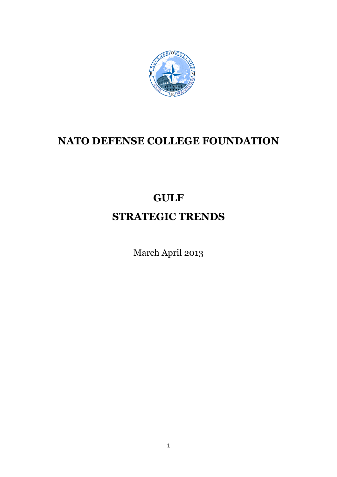

## **NATO DEFENSE COLLEGE FOUNDATION**

# **GULF STRATEGIC TRENDS**

March April 2013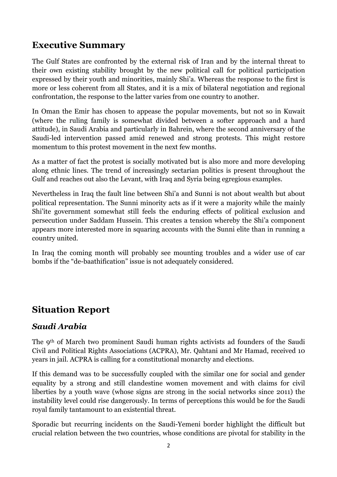### **Executive Summary**

The Gulf States are confronted by the external risk of Iran and by the internal threat to their own existing stability brought by the new political call for political participation expressed by their youth and minorities, mainly Shi'a. Whereas the response to the first is more or less coherent from all States, and it is a mix of bilateral negotiation and regional confrontation, the response to the latter varies from one country to another.

In Oman the Emir has chosen to appease the popular movements, but not so in Kuwait (where the ruling family is somewhat divided between a softer approach and a hard attitude), in Saudi Arabia and particularly in Bahrein, where the second anniversary of the Saudi-led intervention passed amid renewed and strong protests. This might restore momentum to this protest movement in the next few months.

As a matter of fact the protest is socially motivated but is also more and more developing along ethnic lines. The trend of increasingly sectarian politics is present throughout the Gulf and reaches out also the Levant, with Iraq and Syria being egregious examples.

Nevertheless in Iraq the fault line between Shi'a and Sunni is not about wealth but about political representation. The Sunni minority acts as if it were a majority while the mainly Shi'ite government somewhat still feels the enduring effects of political exclusion and persecution under Saddam Hussein. This creates a tension whereby the Shi'a component appears more interested more in squaring accounts with the Sunni elite than in running a country united.

In Iraq the coming month will probably see mounting troubles and a wider use of car bombs if the "de-baathification" issue is not adequately considered.

## **Situation Report**

#### *Saudi Arabia*

The 9th of March two prominent Saudi human rights activists ad founders of the Saudi Civil and Political Rights Associations (ACPRA), Mr. Qahtani and Mr Hamad, received 10 years in jail. ACPRA is calling for a constitutional monarchy and elections.

If this demand was to be successfully coupled with the similar one for social and gender equality by a strong and still clandestine women movement and with claims for civil liberties by a youth wave (whose signs are strong in the social networks since 2011) the instability level could rise dangerously. In terms of perceptions this would be for the Saudi royal family tantamount to an existential threat.

Sporadic but recurring incidents on the Saudi-Yemeni border highlight the difficult but crucial relation between the two countries, whose conditions are pivotal for stability in the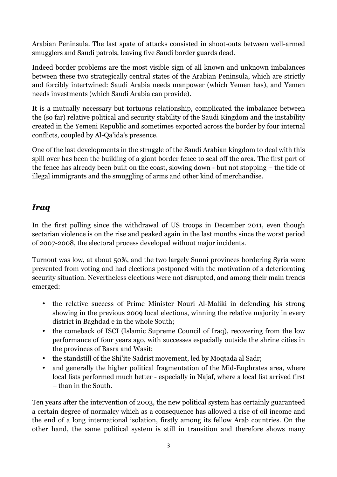Arabian Peninsula. The last spate of attacks consisted in shoot-outs between well-armed smugglers and Saudi patrols, leaving five Saudi border guards dead.

Indeed border problems are the most visible sign of all known and unknown imbalances between these two strategically central states of the Arabian Peninsula, which are strictly and forcibly intertwined: Saudi Arabia needs manpower (which Yemen has), and Yemen needs investments (which Saudi Arabia can provide).

It is a mutually necessary but tortuous relationship, complicated the imbalance between the (so far) relative political and security stability of the Saudi Kingdom and the instability created in the Yemeni Republic and sometimes exported across the border by four internal conflicts, coupled by Al-Qa'ida's presence.

One of the last developments in the struggle of the Saudi Arabian kingdom to deal with this spill over has been the building of a giant border fence to seal off the area. The first part of the fence has already been built on the coast, slowing down - but not stopping – the tide of illegal immigrants and the smuggling of arms and other kind of merchandise.

#### *Iraq*

In the first polling since the withdrawal of US troops in December 2011, even though sectarian violence is on the rise and peaked again in the last months since the worst period of 2007-2008, the electoral process developed without major incidents.

Turnout was low, at about 50%, and the two largely Sunni provinces bordering Syria were prevented from voting and had elections postponed with the motivation of a deteriorating security situation. Nevertheless elections were not disrupted, and among their main trends emerged:

- the relative success of Prime Minister Nouri Al-Maliki in defending his strong showing in the previous 2009 local elections, winning the relative majority in every district in Baghdad e in the whole South;
- the comeback of ISCI (Islamic Supreme Council of Iraq), recovering from the low performance of four years ago, with successes especially outside the shrine cities in the provinces of Basra and Wasit;
- the standstill of the Shi'ite Sadrist movement, led by Moqtada al Sadr;
- and generally the higher political fragmentation of the Mid-Euphrates area, where local lists performed much better - especially in Najaf, where a local list arrived first – than in the South.

Ten years after the intervention of 2003, the new political system has certainly guaranteed a certain degree of normalcy which as a consequence has allowed a rise of oil income and the end of a long international isolation, firstly among its fellow Arab countries. On the other hand, the same political system is still in transition and therefore shows many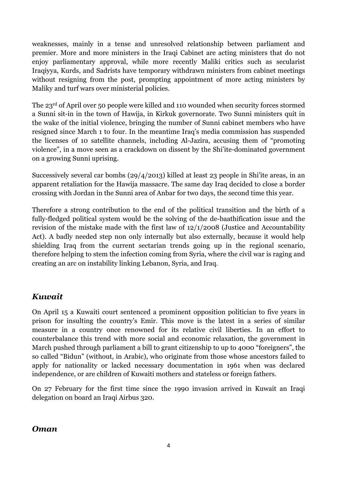weaknesses, mainly in a tense and unresolved relationship between parliament and premier. More and more ministers in the Iraqi Cabinet are acting ministers that do not enjoy parliamentary approval, while more recently Maliki critics such as secularist Iraqiyya, Kurds, and Sadrists have temporary withdrawn ministers from cabinet meetings without resigning from the post, prompting appointment of more acting ministers by Maliky and turf wars over ministerial policies.

The 23rd of April over 50 people were killed and 110 wounded when security forces stormed a Sunni sit-in in the town of Hawija, in Kirkuk governorate. Two Sunni ministers quit in the wake of the initial violence, bringing the number of Sunni cabinet members who have resigned since March 1 to four. In the meantime Iraq's media commission has suspended the licenses of 10 satellite channels, including Al-Jazira, accusing them of "promoting violence", in a move seen as a crackdown on dissent by the Shi'ite-dominated government on a growing Sunni uprising.

Successively several car bombs (29/4/2013) killed at least 23 people in Shi'ite areas, in an apparent retaliation for the Hawija massacre. The same day Iraq decided to close a border crossing with Jordan in the Sunni area of Anbar for two days, the second time this year.

Therefore a strong contribution to the end of the political transition and the birth of a fully-fledged political system would be the solving of the de-baathification issue and the revision of the mistake made with the first law of 12/1/2008 (Justice and Accountability Act). A badly needed step non only internally but also externally, because it would help shielding Iraq from the current sectarian trends going up in the regional scenario, therefore helping to stem the infection coming from Syria, where the civil war is raging and creating an arc on instability linking Lebanon, Syria, and Iraq.

#### *Kuwait*

On April 15 a Kuwaiti court sentenced a prominent opposition politician to five years in prison for insulting the country's Emir. This move is the latest in a series of similar measure in a country once renowned for its relative civil liberties. In an effort to counterbalance this trend with more social and economic relaxation, the government in March pushed through parliament a bill to grant citizenship to up to 4000 "foreigners", the so called "Bidun" (without, in Arabic), who originate from those whose ancestors failed to apply for nationality or lacked necessary documentation in 1961 when was declared independence, or are children of Kuwaiti mothers and stateless or foreign fathers.

On 27 February for the first time since the 1990 invasion arrived in Kuwait an Iraqi delegation on board an Iraqi Airbus 320.

#### *Oman*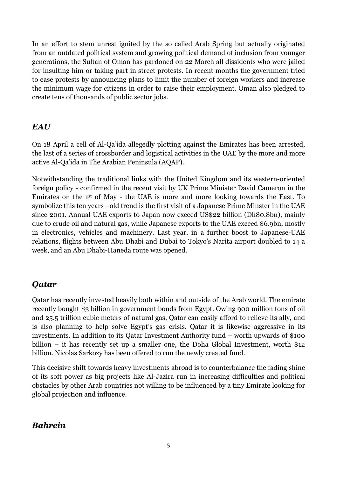In an effort to stem unrest ignited by the so called Arab Spring but actually originated from an outdated political system and growing political demand of inclusion from younger generations, the Sultan of Oman has pardoned on 22 March all dissidents who were jailed for insulting him or taking part in street protests. In recent months the government tried to ease protests by announcing plans to limit the number of foreign workers and increase the minimum wage for citizens in order to raise their employment. Oman also pledged to create tens of thousands of public sector jobs.

#### *EAU*

On 18 April a cell of Al-Qa'ida allegedly plotting against the Emirates has been arrested, the last of a series of crossborder and logistical activities in the UAE by the more and more active Al-Qa'ida in The Arabian Peninsula (AQAP).

Notwithstanding the traditional links with the United Kingdom and its western-oriented foreign policy - confirmed in the recent visit by UK Prime Minister David Cameron in the Emirates on the 1st of May - the UAE is more and more looking towards the East. To symbolize this ten years –old trend is the first visit of a Japanese Prime Minster in the UAE since 2001. Annual UAE exports to Japan now exceed US\$22 billion (Dh80.8bn), mainly due to crude oil and natural gas, while Japanese exports to the UAE exceed \$6.9bn, mostly in electronics, vehicles and machinery. Last year, in a further boost to Japanese-UAE relations, flights between Abu Dhabi and Dubai to Tokyo's Narita airport doubled to 14 a week, and an Abu Dhabi-Haneda route was opened.

#### *Qatar*

Qatar has recently invested heavily both within and outside of the Arab world. The emirate recently bought \$3 billion in government bonds from Egypt. Owing 900 million tons of oil and 25.5 trillion cubic meters of natural gas, Qatar can easily afford to relieve its ally, and is also planning to help solve Egypt's gas crisis. Qatar it is likewise aggressive in its investments. In addition to its Qatar Investment Authority fund – worth upwards of \$100 billion – it has recently set up a smaller one, the Doha Global Investment, worth \$12 billion. Nicolas Sarkozy has been offered to run the newly created fund.

This decisive shift towards heavy investments abroad is to counterbalance the fading shine of its soft power as big projects like Al-Jazira run in increasing difficulties and political obstacles by other Arab countries not willing to be influenced by a tiny Emirate looking for global projection and influence.

#### *Bahrein*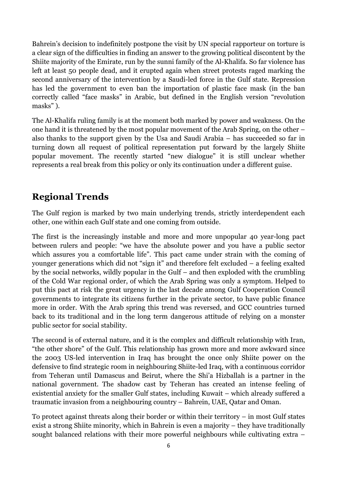Bahrein's decision to indefinitely postpone the visit by UN special rapporteur on torture is a clear sign of the difficulties in finding an answer to the growing political discontent by the Shiite majority of the Emirate, run by the sunni family of the Al-Khalifa. So far violence has left at least 50 people dead, and it erupted again when street protests raged marking the second anniversary of the intervention by a Saudi-led force in the Gulf state. Repression has led the government to even ban the importation of plastic face mask (in the ban correctly called "face masks" in Arabic, but defined in the English version "revolution masks" ).

The Al-Khalifa ruling family is at the moment both marked by power and weakness. On the one hand it is threatened by the most popular movement of the Arab Spring, on the other – also thanks to the support given by the Usa and Saudi Arabia – has succeeded so far in turning down all request of political representation put forward by the largely Shiite popular movement. The recently started "new dialogue" it is still unclear whether represents a real break from this policy or only its continuation under a different guise.

## **Regional Trends**

The Gulf region is marked by two main underlying trends, strictly interdependent each other, one within each Gulf state and one coming from outside.

The first is the increasingly instable and more and more unpopular 40 year-long pact between rulers and people: "we have the absolute power and you have a public sector which assures you a comfortable life". This pact came under strain with the coming of younger generations which did not "sign it" and therefore felt excluded – a feeling exalted by the social networks, wildly popular in the Gulf – and then exploded with the crumbling of the Cold War regional order, of which the Arab Spring was only a symptom. Helped to put this pact at risk the great urgency in the last decade among Gulf Cooperation Council governments to integrate its citizens further in the private sector, to have public finance more in order. With the Arab spring this trend was reversed, and GCC countries turned back to its traditional and in the long term dangerous attitude of relying on a monster public sector for social stability.

The second is of external nature, and it is the complex and difficult relationship with Iran, "the other shore" of the Gulf. This relationship has grown more and more awkward since the 2003 US-led intervention in Iraq has brought the once only Shiite power on the defensive to find strategic room in neighbouring Shiite-led Iraq, with a continuous corridor from Teheran until Damascus and Beirut, where the Shi'a Hizballah is a partner in the national government. The shadow cast by Teheran has created an intense feeling of existential anxiety for the smaller Gulf states, including Kuwait – which already suffered a traumatic invasion from a neighbouring country – Bahrein, UAE, Qatar and Oman.

To protect against threats along their border or within their territory – in most Gulf states exist a strong Shiite minority, which in Bahrein is even a majority – they have traditionally sought balanced relations with their more powerful neighbours while cultivating extra –